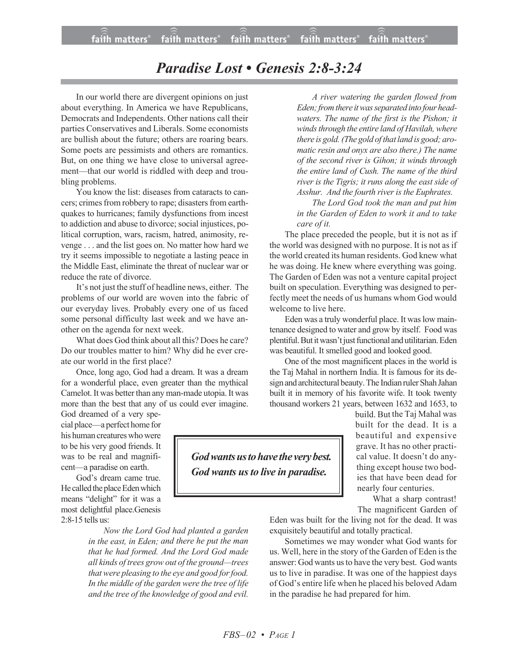## *Paradise Lost • Genesis 2:8-3:24*

In our world there are divergent opinions on just about everything. In America we have Republicans, Democrats and Independents. Other nations call their parties Conservatives and Liberals. Some economists are bullish about the future; others are roaring bears. Some poets are pessimists and others are romantics. But, on one thing we have close to universal agreement—that our world is riddled with deep and troubling problems.

You know the list: diseases from cataracts to cancers; crimes from robbery to rape; disasters from earthquakes to hurricanes; family dysfunctions from incest to addiction and abuse to divorce; social injustices, political corruption, wars, racism, hatred, animosity, revenge . . . and the list goes on. No matter how hard we try it seems impossible to negotiate a lasting peace in the Middle East, eliminate the threat of nuclear war or reduce the rate of divorce.

It's not just the stuff of headline news, either. The problems of our world are woven into the fabric of our everyday lives. Probably every one of us faced some personal difficulty last week and we have another on the agenda for next week.

What does God think about all this? Does he care? Do our troubles matter to him? Why did he ever create our world in the first place?

Once, long ago, God had a dream. It was a dream for a wonderful place, even greater than the mythical Camelot. It was better than any man-made utopia. It was more than the best that any of us could ever imagine.

God dreamed of a very special place—a perfect home for his human creatures who were to be his very good friends. It was to be real and magnificent—a paradise on earth.

God's dream came true. He called the place Eden which means "delight" for it was a most delightful place.Genesis 2:8-15 tells us:

> *Now the Lord God had planted a garden in the east, in Eden; and there he put the man that he had formed. And the Lord God made all kinds of trees grow out of the ground—trees thatwere pleasing to the eye and good forfood. In the middle of the garden were the tree of life and the tree of the knowledge of good and evil.*

*A river watering the garden flowed from* Eden; from there it was separated into four head*waters. The name of the first is the Pishon; it windsthrough the entire land of Havilah,where there is gold.(The gold of that land is good; aromatic resin and onyx are also there.) The name of the second river is Gihon; it winds through the entire land of Cush. The name of the third river is the Tigris; it runs along the east side of Asshur. And the fourth river is the Euphrates.*

*The Lord God took the man and put him in the Garden of Eden to work it and to take care of it.*

The place preceded the people, but it is not as if the world was designed with no purpose. It is not as if the world created its human residents. God knew what he was doing. He knew where everything was going. The Garden of Eden was not a venture capital project built on speculation. Everything was designed to perfectly meet the needs of us humans whom God would welcome to live here.

Eden was a truly wonderful place. It was low maintenance designed to water and grow by itself. Food was plentiful. But it wasn't just functional and utilitarian. Eden was beautiful. It smelled good and looked good.

One of the most magnificent places in the world is the Taj Mahal in northern India. It is famous for its design and architectural beauty.The Indian ruler Shah Jahan built it in memory of his favorite wife. It took twenty thousand workers 21 years, between 1632 and 1653, to

> build. But the Taj Mahal was built for the dead. It is a beautiful and expensive grave. It has no other practical value. It doesn't do anything except house two bodies that have been dead for nearly four centuries.

What a sharp contrast!

The magnificent Garden of Eden was built for the living not for the dead. It was exquisitely beautiful and totally practical.

Sometimes we may wonder what God wants for us. Well, here in the story of the Garden of Eden is the answer: God wants us to have the very best. God wants us to live in paradise. It was one of the happiest days of God's entire life when he placed his beloved Adam in the paradise he had prepared for him.

*Godwantsustohave the verybest. God* wants us to live in paradise.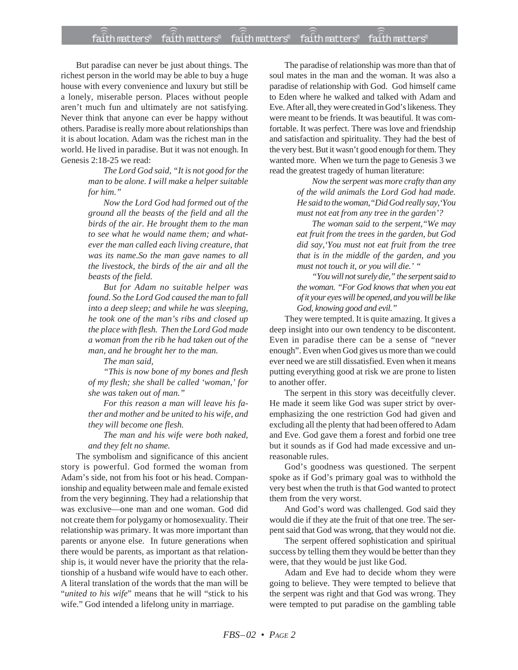## faith matters® faith matters® faith matters® faith matters® faith matters® ))) ))) ))) ))) )))

But paradise can never be just about things. The richest person in the world may be able to buy a huge house with every convenience and luxury but still be a lonely, miserable person. Places without people aren't much fun and ultimately are not satisfying. Never think that anyone can ever be happy without others. Paradise is really more about relationships than it is about location. Adam was the richest man in the world. He lived in paradise. But it was not enough. In Genesis 2:18-25 we read:

> *The Lord God said, "It is not good for the man to be alone. I will make a helper suitable for him."*

> *Now the Lord God had formed out of the ground all the beasts of the field and all the birds of the air. He brought them to the man to see what he would name them; and whatever the man called each living creature, that was its name.So the man gave names to all the livestock, the birds of the air and all the beasts of the field.*

*But for Adam no suitable helper was found. So the Lord God caused the man to fall into a deep sleep; and while he was sleeping, he took one of the man's ribs and closed up the place with flesh. Then the Lord God made a woman from the rib he had taken out of the man, and he brought her to the man.*

*The man said,*

*"This is now bone of my bones and flesh of my flesh; she shall be called 'woman,' for she was taken out of man."*

*For this reason a man will leave his father and mother and be united to his wife, and they will become one flesh.*

*The man and his wife were both naked, and they felt no shame.*

The symbolism and significance of this ancient story is powerful. God formed the woman from Adam's side, not from his foot or his head. Companionship and equality between male and female existed from the very beginning. They had a relationship that was exclusive—one man and one woman. God did not create them for polygamy or homosexuality. Their relationship was primary. It was more important than parents or anyone else. In future generations when there would be parents, as important as that relationship is, it would never have the priority that the relationship of a husband wife would have to each other. A literal translation of the words that the man will be "*united to his wife*" means that he will "stick to his wife." God intended a lifelong unity in marriage.

The paradise of relationship was more than that of soul mates in the man and the woman. It was also a paradise of relationship with God. God himself came to Eden where he walked and talked with Adam and Eve. After all, they were created in God's likeness. They were meant to be friends. It was beautiful. It was comfortable. It was perfect. There was love and friendship and satisfaction and spirituality. They had the best of the very best. But it wasn't good enough for them. They wanted more. When we turn the page to Genesis 3 we read the greatest tragedy of human literature:

> *Now the serpent was more crafty than any of the wild animals the Lord God had made. He said to the woman,"Did God really say,'You must not eat from any tree in the garden'?*

> *The woman said to the serpent,"We may eat fruit from the trees in the garden, but God did say,'You must not eat fruit from the tree that is in the middle of the garden, and you must not touch it, or you will die.' "*

> *"You will not surely die," the serpent said to the woman. "For God knows that when you eat of it your eyes will be opened, and you will be like God, knowing good and evil."*

They were tempted. It is quite amazing. It gives a deep insight into our own tendency to be discontent. Even in paradise there can be a sense of "never enough". Even when God gives us more than we could ever need we are still dissatisfied. Even when it means putting everything good at risk we are prone to listen to another offer.

The serpent in this story was deceitfully clever. He made it seem like God was super strict by overemphasizing the one restriction God had given and excluding all the plenty that had been offered to Adam and Eve. God gave them a forest and forbid one tree but it sounds as if God had made excessive and unreasonable rules.

God's goodness was questioned. The serpent spoke as if God's primary goal was to withhold the very best when the truth is that God wanted to protect them from the very worst.

And God's word was challenged. God said they would die if they ate the fruit of that one tree. The serpent said that God was wrong, that they would not die.

The serpent offered sophistication and spiritual success by telling them they would be better than they were, that they would be just like God.

Adam and Eve had to decide whom they were going to believe. They were tempted to believe that the serpent was right and that God was wrong. They were tempted to put paradise on the gambling table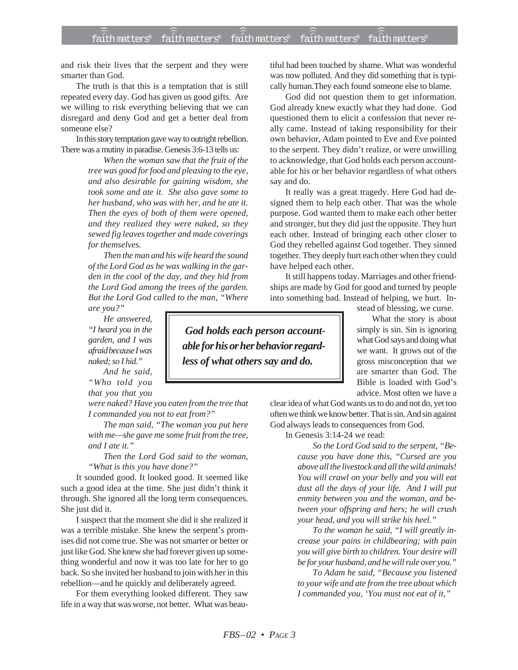and risk their lives that the serpent and they were smarter than God.

The truth is that this is a temptation that is still repeated every day. God has given us good gifts. Are we willing to risk everything believing that we can disregard and deny God and get a better deal from someone else?

In this story temptation gave way to outright rebellion. There was a mutiny in paradise. Genesis 3:6-13 tells us:

> *When the woman saw that the fruit of the tree was good for food and pleasing to the eye, and also desirable for gaining wisdom, she took some and ate it. She also gave some to her husband, who was with her, and he ate it. Then the eyes of both of them were opened, and they realized they were naked, so they sewed fig leaves together and made coverings for themselves.*

> *Then the man and his wife heard the sound of the Lord God as he was walking in the garden in the cool of the day, and they hid from the Lord God among the trees of the garden. But the Lord God called to the man, "Where are you?"*

*He answered, "I heard you in the garden, and I was afraid because I was naked; so I hid."*

*And he said, "Who told you that you that you*

*were naked? Have you eaten from the tree that I commanded you not to eat from?"*

*The man said, "The woman you put here with me—she gave me some fruit from the tree, and I ate it."*

*Then the Lord God said to the woman, "What is this you have done?"*

It sounded good. It looked good. It seemed like such a good idea at the time. She just didn't think it through. She ignored all the long term consequences. She just did it.

I suspect that the moment she did it she realized it was a terrible mistake. She knew the serpent's promises did not come true. She was not smarter or better or just like God. She knew she had forever given up something wonderful and now it was too late for her to go back. So she invited her husband to join with her in this rebellion—and he quickly and deliberately agreed.

For them everything looked different. They saw life in a way that was worse, not better. What was beautiful had been touched by shame. What was wonderful was now polluted. And they did something that is typically human.They each found someone else to blame.

God did not question them to get information. God already knew exactly what they had done. God questioned them to elicit a confession that never really came. Instead of taking responsibility for their own behavior, Adam pointed to Eve and Eve pointed to the serpent. They didn't realize, or were unwilling to acknowledge, that God holds each person accountable for his or her behavior regardless of what others say and do.

It really was a great tragedy. Here God had designed them to help each other. That was the whole purpose. God wanted them to make each other better and stronger, but they did just the opposite. They hurt each other. Instead of bringing each other closer to God they rebelled against God together. They sinned together. They deeply hurt each other when they could have helped each other.

It still happens today. Marriages and other friendships are made by God for good and turned by people into something bad. Instead of helping, we hurt. In-

stead of blessing, we curse.

What the story is about simply is sin. Sin is ignoring what God says and doing what we want. It grows out of the gross misconception that we are smarter than God. The Bible is loaded with God's advice. Most often we have a

clear idea of what God wants us to do and not do, yet too often we think we know better. That is sin. And sin against God always leads to consequences from God.

In Genesis 3:14-24 we read:

*So the Lord God said to the serpent, "Because you have done this, "Cursed are you above all the livestock and all the wild animals! You will crawl on your belly and you will eat dust all the days of your life. And I will put enmity between you and the woman, and between your offspring and hers; he will crush your head, and you will strike his heel."*

*To the woman he said, "I will greatly increase your pains in childbearing; with pain you will give birth to children. Your desire will be for your husband, and he will rule over you."*

*To Adam he said, "Because you listened to your wife and ate from the tree about which I commanded you, 'You must not eat of it,"*

 *God holds each person accountable for his or her behavior regardless of what others say and do.*